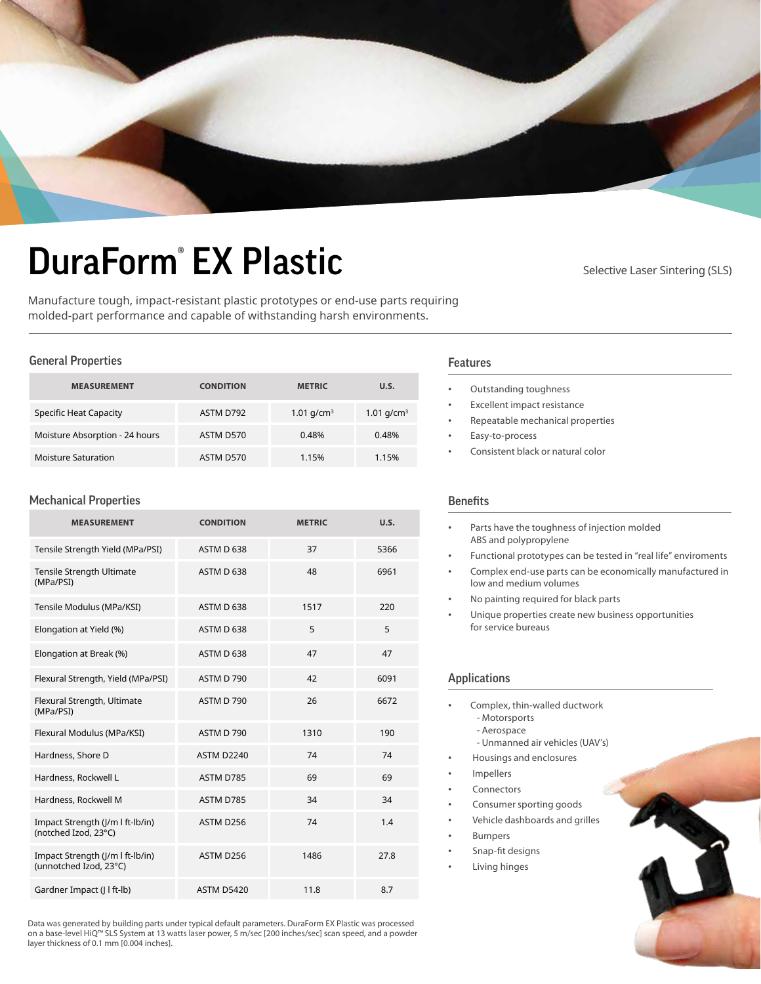

# DuraForm<sup>®</sup> EX Plastic Selective Laser Sintering (SLS)

Manufacture tough, impact-resistant plastic prototypes or end-use parts requiring molded-part performance and capable of withstanding harsh environments.

### General Properties

| <b>MEASUREMENT</b>             | <b>CONDITION</b> | <b>METRIC</b> | U.S.          |
|--------------------------------|------------------|---------------|---------------|
| <b>Specific Heat Capacity</b>  | ASTM D792        | 1.01 $q/cm^3$ | 1.01 $q/cm^3$ |
| Moisture Absorption - 24 hours | ASTM D570        | 0.48%         | 0.48%         |
| <b>Moisture Saturation</b>     | ASTM D570        | 1.15%         | 1.15%         |

## Mechanical Properties

| <b>MEASUREMENT</b>                                         | <b>CONDITION</b>  | <b>METRIC</b> | U.S. |
|------------------------------------------------------------|-------------------|---------------|------|
| Tensile Strength Yield (MPa/PSI)                           | ASTM D 638        | 37            | 5366 |
| Tensile Strength Ultimate<br>(MPa/PSI)                     | ASTM D 638        | 48            | 6961 |
| Tensile Modulus (MPa/KSI)                                  | ASTM D 638        | 1517          | 220  |
| Elongation at Yield (%)                                    | ASTM D 638        | 5             | 5    |
| Elongation at Break (%)                                    | ASTM D 638        | 47            | 47   |
| Flexural Strength, Yield (MPa/PSI)                         | ASTM D 790        | 42            | 6091 |
| Flexural Strength, Ultimate<br>(MPa/PSI)                   | ASTM D 790        | 26            | 6672 |
| Flexural Modulus (MPa/KSI)                                 | ASTM D 790        | 1310          | 190  |
| Hardness, Shore D                                          | <b>ASTM D2240</b> | 74            | 74   |
| Hardness, Rockwell L                                       | ASTM D785         | 69            | 69   |
| Hardness, Rockwell M                                       | ASTM D785         | 34            | 34   |
| Impact Strength (J/m I ft-Ib/in)<br>(notched Izod, 23°C)   | ASTM D256         | 74            | 1.4  |
| Impact Strength (J/m I ft-Ib/in)<br>(unnotched Izod, 23°C) | ASTM D256         | 1486          | 27.8 |
| Gardner Impact (J l ft-lb)                                 | <b>ASTM D5420</b> | 11.8          | 8.7  |

#### Data was generated by building parts under typical default parameters. DuraForm EX Plastic was processed on a base-level HiQ™ SLS System at 13 watts laser power, 5 m/sec [200 inches/sec] scan speed, and a powder layer thickness of 0.1 mm [0.004 inches].

- Outstanding toughness
- Excellent impact resistance
- Repeatable mechanical properties
- Easy-to-process
- Consistent black or natural color

# Benefits

Features

| Parts have the toughness of injection molded<br>ABS and polypropylene                            |
|--------------------------------------------------------------------------------------------------|
| Functional prototypes can be tested in "real life" enviroments                                   |
| Complex end-use parts can be economically manufactured in<br>low and medium volumes              |
| No painting required for black parts                                                             |
| Unique properties create new business opportunities<br>for service bureaus                       |
| <b>Applications</b>                                                                              |
| Complex, thin-walled ductwork<br>- Motorsports<br>- Aerospace<br>- Unmanned air vehicles (UAV's) |
| Housings and enclosures                                                                          |
| Impellers                                                                                        |
| Connectors                                                                                       |
| Consumer sporting goods                                                                          |
| Vehicle dashboards and grilles                                                                   |
| <b>Bumpers</b>                                                                                   |
| Snap-fit designs                                                                                 |
| Living hinges                                                                                    |
|                                                                                                  |
|                                                                                                  |